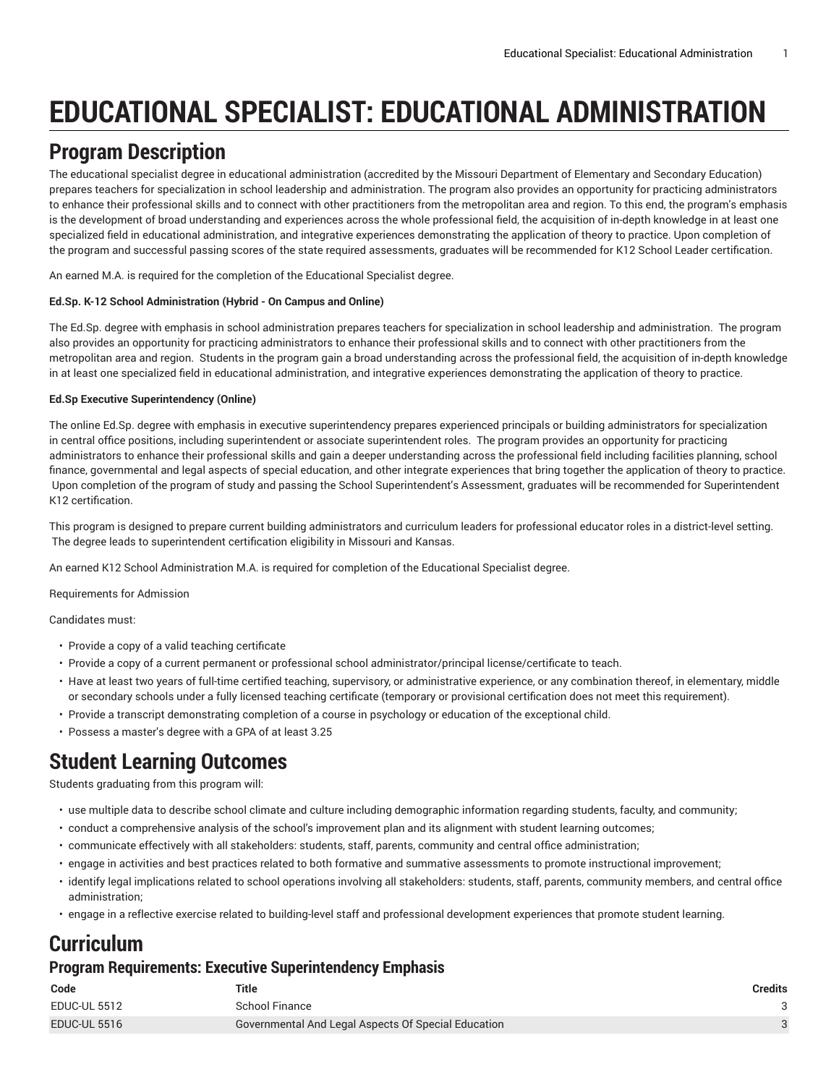# **EDUCATIONAL SPECIALIST: EDUCATIONAL ADMINISTRATION**

# **Program Description**

The educational specialist degree in educational administration (accredited by the Missouri Department of Elementary and Secondary Education) prepares teachers for specialization in school leadership and administration. The program also provides an opportunity for practicing administrators to enhance their professional skills and to connect with other practitioners from the metropolitan area and region. To this end, the program's emphasis is the development of broad understanding and experiences across the whole professional field, the acquisition of in-depth knowledge in at least one specialized field in educational administration, and integrative experiences demonstrating the application of theory to practice. Upon completion of the program and successful passing scores of the state required assessments, graduates will be recommended for K12 School Leader certification.

An earned M.A. is required for the completion of the Educational Specialist degree.

#### **Ed.Sp. K-12 School Administration (Hybrid - On Campus and Online)**

The Ed.Sp. degree with emphasis in school administration prepares teachers for specialization in school leadership and administration. The program also provides an opportunity for practicing administrators to enhance their professional skills and to connect with other practitioners from the metropolitan area and region. Students in the program gain a broad understanding across the professional field, the acquisition of in-depth knowledge in at least one specialized field in educational administration, and integrative experiences demonstrating the application of theory to practice.

#### **Ed.Sp Executive Superintendency (Online)**

The online Ed.Sp. degree with emphasis in executive superintendency prepares experienced principals or building administrators for specialization in central office positions, including superintendent or associate superintendent roles. The program provides an opportunity for practicing administrators to enhance their professional skills and gain a deeper understanding across the professional field including facilities planning, school finance, governmental and legal aspects of special education, and other integrate experiences that bring together the application of theory to practice. Upon completion of the program of study and passing the School Superintendent's Assessment, graduates will be recommended for Superintendent K12 certification.

This program is designed to prepare current building administrators and curriculum leaders for professional educator roles in a district-level setting. The degree leads to superintendent certification eligibility in Missouri and Kansas.

An earned K12 School Administration M.A. is required for completion of the Educational Specialist degree.

Requirements for Admission

Candidates must:

- Provide a copy of a valid teaching certificate
- Provide a copy of a current permanent or professional school administrator/principal license/certificate to teach.
- Have at least two years of full-time certified teaching, supervisory, or administrative experience, or any combination thereof, in elementary, middle or secondary schools under a fully licensed teaching certificate (temporary or provisional certification does not meet this requirement).
- Provide a transcript demonstrating completion of a course in psychology or education of the exceptional child.
- Possess a master's degree with a GPA of at least 3.25

## **Student Learning Outcomes**

Students graduating from this program will:

- use multiple data to describe school climate and culture including demographic information regarding students, faculty, and community;
- conduct a comprehensive analysis of the school's improvement plan and its alignment with student learning outcomes;
- communicate effectively with all stakeholders: students, staff, parents, community and central office administration;
- engage in activities and best practices related to both formative and summative assessments to promote instructional improvement;
- identify legal implications related to school operations involving all stakeholders: students, staff, parents, community members, and central office administration;
- engage in a reflective exercise related to building-level staff and professional development experiences that promote student learning.

## **Curriculum**

#### **Program Requirements: Executive Superintendency Emphasis**

| Code                | Title                                               | <b>Credits</b> |
|---------------------|-----------------------------------------------------|----------------|
| <b>EDUC-UL 5512</b> | School Finance                                      |                |
| <b>EDUC-UL 5516</b> | Governmental And Legal Aspects Of Special Education |                |